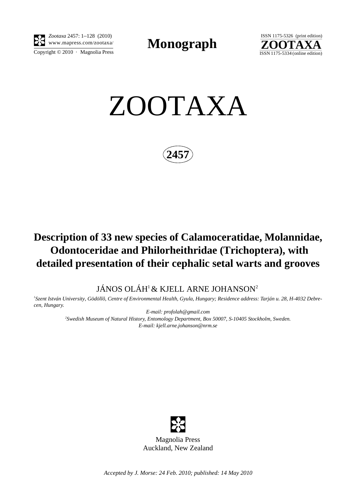

Copyright  $\odot$  2010 · Magnolia Press *Zootaxa* 2457: 1–128 (2010)

**Monograph** 



ZOOTAXA

**2457**

# **Description of 33 new species of Calamoceratidae, Molannidae, Odontoceridae and Philorheithridae (Trichoptera), with detailed presentation of their cephalic setal warts and grooves**

JÁNOS OLÁH<sup>1</sup> & KJELL ARNE JOHANSON<sup>2</sup>

*1 Szent István University, Gödöllõ, Centre of Environmental Health, Gyula, Hungary; Residence address: Tarján u. 28, H-4032 Debrecen, Hungary.* 

> *E-mail: profolah@gmail.com 2 Swedish Museum of Natural History, Entomology Department, Box 50007, S-10405 Stockholm, Sweden. E-mail: kjell.arne.johanson@nrm.se*



*Accepted by J. Morse: 24 Feb. 2010; published: 14 May 2010*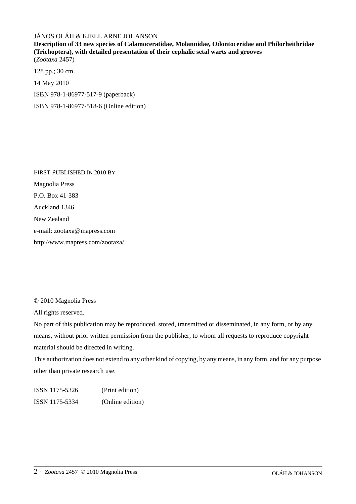## JÁNOS OLÁH & KJELL ARNE JOHANSON

**Description of 33 new species of Calamoceratidae, Molannidae, Odontoceridae and Philorheithridae (Trichoptera), with detailed presentation of their cephalic setal warts and grooves** (*Zootaxa* 2457)

128 pp.; 30 cm. 14 May 2010 ISBN 978-1-86977-517-9 (paperback) ISBN 978-1-86977-518-6 (Online edition)

FIRST PUBLISHED IN 2010 BY Magnolia Press P.O. Box 41-383 Auckland 1346 New Zealand e-mail: zootaxa@mapress.com http://www.mapress.com/zootaxa/

© 2010 Magnolia Press

All rights reserved.

No part of this publication may be reproduced, stored, transmitted or disseminated, in any form, or by any means, without prior written permission from the publisher, to whom all requests to reproduce copyright material should be directed in writing.

This authorization does not extend to any other kind of copying, by any means, in any form, and for any purpose other than private research use.

ISSN 1175-5326 (Print edition) ISSN 1175-5334 (Online edition)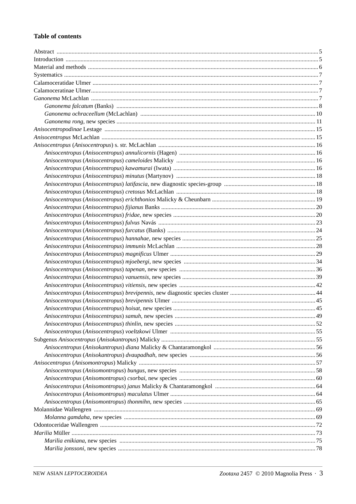## **Table of contents**